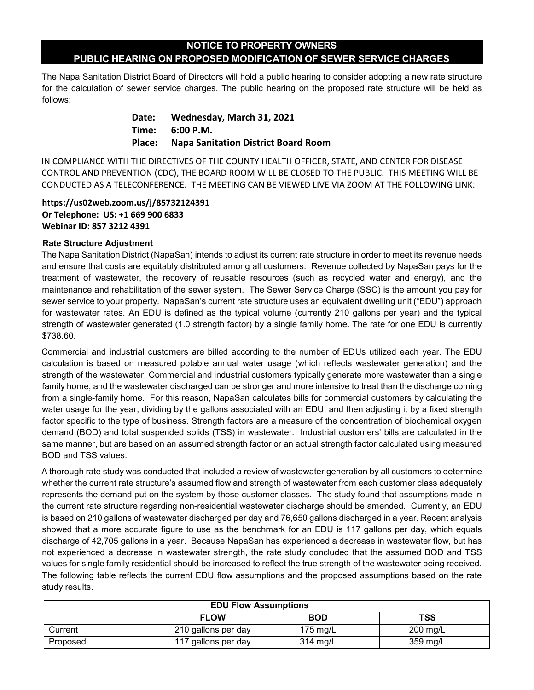## **NOTICE TO PROPERTY OWNERS PUBLIC HEARING ON PROPOSED MODIFICATION OF SEWER SERVICE CHARGES**

The Napa Sanitation District Board of Directors will hold a public hearing to consider adopting a new rate structure for the calculation of sewer service charges. The public hearing on the proposed rate structure will be held as follows:

> **Date: Wednesday, March 31, 2021 Time: 6:00 P.M. Place: Napa Sanitation District Board Room**

IN COMPLIANCE WITH THE DIRECTIVES OF THE COUNTY HEALTH OFFICER, STATE, AND CENTER FOR DISEASE CONTROL AND PREVENTION (CDC), THE BOARD ROOM WILL BE CLOSED TO THE PUBLIC. THIS MEETING WILL BE CONDUCTED AS A TELECONFERENCE. THE MEETING CAN BE VIEWED LIVE VIA ZOOM AT THE FOLLOWING LINK:

 **https://us02web.zoom.us/j/85732124391 Or Telephone: US: +1 669 900 6833 Webinar ID: 857 3212 4391**

## **Rate Structure Adjustment**

The Napa Sanitation District (NapaSan) intends to adjust its current rate structure in order to meet its revenue needs and ensure that costs are equitably distributed among all customers. Revenue collected by NapaSan pays for the treatment of wastewater, the recovery of reusable resources (such as recycled water and energy), and the maintenance and rehabilitation of the sewer system. The Sewer Service Charge (SSC) is the amount you pay for sewer service to your property. NapaSan's current rate structure uses an equivalent dwelling unit ("EDU") approach for wastewater rates. An EDU is defined as the typical volume (currently 210 gallons per year) and the typical strength of wastewater generated (1.0 strength factor) by a single family home. The rate for one EDU is currently \$738.60.

Commercial and industrial customers are billed according to the number of EDUs utilized each year. The EDU calculation is based on measured potable annual water usage (which reflects wastewater generation) and the strength of the wastewater. Commercial and industrial customers typically generate more wastewater than a single family home, and the wastewater discharged can be stronger and more intensive to treat than the discharge coming from a single-family home. For this reason, NapaSan calculates bills for commercial customers by calculating the water usage for the year, dividing by the gallons associated with an EDU, and then adjusting it by a fixed strength factor specific to the type of business. Strength factors are a measure of the concentration of biochemical oxygen demand (BOD) and total suspended solids (TSS) in wastewater. Industrial customers' bills are calculated in the same manner, but are based on an assumed strength factor or an actual strength factor calculated using measured BOD and TSS values.

A thorough rate study was conducted that included a review of wastewater generation by all customers to determine whether the current rate structure's assumed flow and strength of wastewater from each customer class adequately represents the demand put on the system by those customer classes. The study found that assumptions made in the current rate structure regarding non-residential wastewater discharge should be amended. Currently, an EDU is based on 210 gallons of wastewater discharged per day and 76,650 gallons discharged in a year. Recent analysis showed that a more accurate figure to use as the benchmark for an EDU is 117 gallons per day, which equals discharge of 42,705 gallons in a year. Because NapaSan has experienced a decrease in wastewater flow, but has not experienced a decrease in wastewater strength, the rate study concluded that the assumed BOD and TSS values for single family residential should be increased to reflect the true strength of the wastewater being received. The following table reflects the current EDU flow assumptions and the proposed assumptions based on the rate study results.

| <b>EDU Flow Assumptions</b> |                     |            |                    |  |  |
|-----------------------------|---------------------|------------|--------------------|--|--|
|                             | <b>FLOW</b>         | <b>BOD</b> | <b>TSS</b>         |  |  |
| Current                     | 210 gallons per day | 175 $mg/L$ | $200 \text{ mg/L}$ |  |  |
| Proposed                    | 117 gallons per day | 314 mg/L   | 359 mg/L           |  |  |